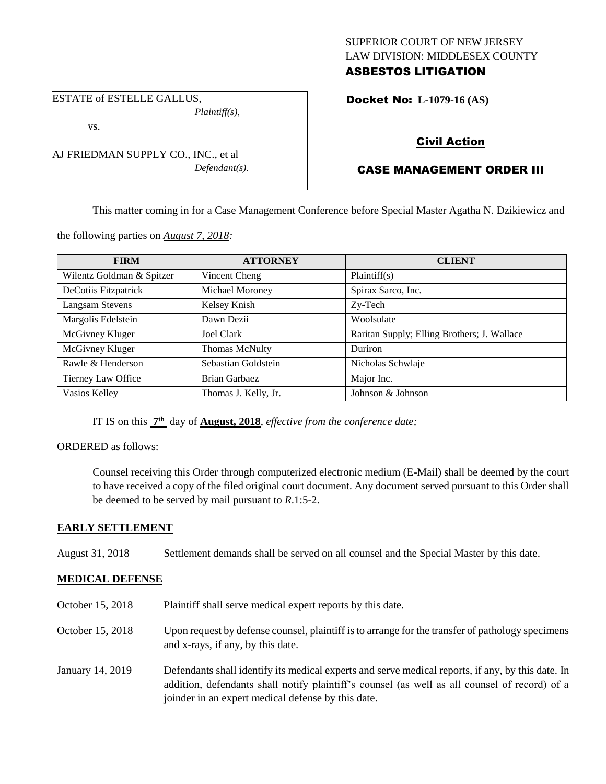### SUPERIOR COURT OF NEW JERSEY LAW DIVISION: MIDDLESEX COUNTY ASBESTOS LITIGATION

ESTATE of ESTELLE GALLUS, *Plaintiff(s),*

vs.

AJ FRIEDMAN SUPPLY CO., INC., et al *Defendant(s).* Docket No: **L-1079-16 (AS)** 

# Civil Action

# CASE MANAGEMENT ORDER III

This matter coming in for a Case Management Conference before Special Master Agatha N. Dzikiewicz and

the following parties on *August 7, 2018:*

| <b>FIRM</b>               | <b>ATTORNEY</b>      | <b>CLIENT</b>                               |
|---------------------------|----------------------|---------------------------------------------|
| Wilentz Goldman & Spitzer | Vincent Cheng        | Plaintiff(s)                                |
| DeCotiis Fitzpatrick      | Michael Moroney      | Spirax Sarco, Inc.                          |
| <b>Langsam Stevens</b>    | Kelsey Knish         | Zy-Tech                                     |
| Margolis Edelstein        | Dawn Dezii           | Woolsulate                                  |
| McGivney Kluger           | <b>Joel Clark</b>    | Raritan Supply; Elling Brothers; J. Wallace |
| McGivney Kluger           | Thomas McNulty       | Duriron                                     |
| Rawle & Henderson         | Sebastian Goldstein  | Nicholas Schwlaje                           |
| Tierney Law Office        | Brian Garbaez        | Major Inc.                                  |
| Vasios Kelley             | Thomas J. Kelly, Jr. | Johnson & Johnson                           |

IT IS on this **7 th** day of **August, 2018**, *effective from the conference date;*

### ORDERED as follows:

Counsel receiving this Order through computerized electronic medium (E-Mail) shall be deemed by the court to have received a copy of the filed original court document. Any document served pursuant to this Order shall be deemed to be served by mail pursuant to *R*.1:5-2.

## **EARLY SETTLEMENT**

August 31, 2018 Settlement demands shall be served on all counsel and the Special Master by this date.

## **MEDICAL DEFENSE**

October 15, 2018 Plaintiff shall serve medical expert reports by this date. October 15, 2018 Upon request by defense counsel, plaintiff is to arrange for the transfer of pathology specimens and x-rays, if any, by this date. January 14, 2019 Defendants shall identify its medical experts and serve medical reports, if any, by this date. In addition, defendants shall notify plaintiff's counsel (as well as all counsel of record) of a joinder in an expert medical defense by this date.